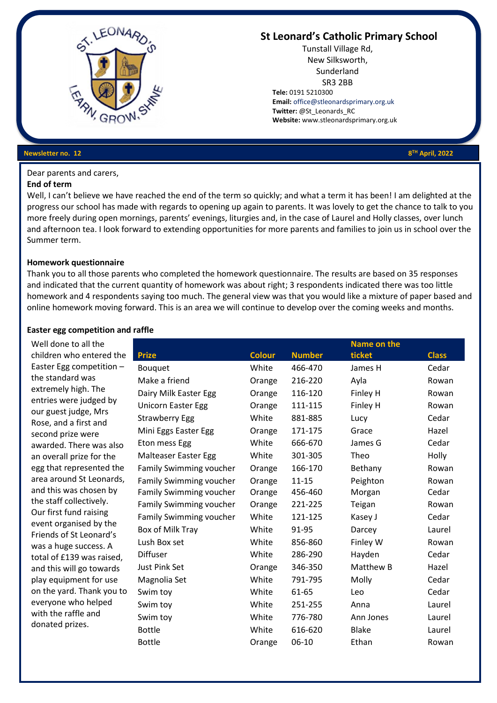

# **St Leonard's Catholic Primary School**

Tunstall Village Rd, New Silksworth, Sunderland SR3 2BB  **Tele:** 0191 5210300  **Email:** [office@stleonardsprimary.org.uk](mailto:office@stleonardsprimary.org.uk)  **Twitter:** @St\_Leonards\_RC  **Website:** www.stleonardsprimary.org.uk

**TH April, 2022**

#### **Newsletter no. 12**

Dear parents and carers,

## **End of term**

Well, I can't believe we have reached the end of the term so quickly; and what a term it has been! I am delighted at the progress our school has made with regards to opening up again to parents. It was lovely to get the chance to talk to you more freely during open mornings, parents' evenings, liturgies and, in the case of Laurel and Holly classes, over lunch and afternoon tea. I look forward to extending opportunities for more parents and families to join us in school over the Summer term.

#### **Homework questionnaire**

Thank you to all those parents who completed the homework questionnaire. The results are based on 35 responses and indicated that the current quantity of homework was about right; 3 respondents indicated there was too little homework and 4 respondents saying too much. The general view was that you would like a mixture of paper based and online homework moving forward. This is an area we will continue to develop over the coming weeks and months.

#### **Easter egg competition and raffle**

Well done to all the children who entered the Easter Egg competition – the standard was extremely high. The entries were judged by our guest judge, Mrs Rose, and a first and second prize were awarded. There was also an overall prize for the egg that represented the area around St Leonards, and this was chosen by the staff collectively. Our first fund raising event organised by the Friends of St Leonard's was a huge success. A total of £139 was raised, and this will go towards play equipment for use on the yard. Thank you to everyone who helped with the raffle and donated prizes.

|                                |               |               | Name on the  |              |
|--------------------------------|---------------|---------------|--------------|--------------|
| <b>Prize</b>                   | <b>Colour</b> | <b>Number</b> | ticket       | <b>Class</b> |
| <b>Bouquet</b>                 | White         | 466-470       | James H      | Cedar        |
| Make a friend                  | Orange        | 216-220       | Ayla         | Rowan        |
| Dairy Milk Easter Egg          | Orange        | 116-120       | Finley H     | Rowan        |
| <b>Unicorn Easter Egg</b>      | Orange        | 111-115       | Finley H     | Rowan        |
| <b>Strawberry Egg</b>          | White         | 881-885       | Lucy         | Cedar        |
| Mini Eggs Easter Egg           | Orange        | 171-175       | Grace        | Hazel        |
| Eton mess Egg                  | White         | 666-670       | James G      | Cedar        |
| <b>Malteaser Easter Egg</b>    | White         | 301-305       | Theo         | Holly        |
| Family Swimming voucher        | Orange        | 166-170       | Bethany      | Rowan        |
| <b>Family Swimming voucher</b> | Orange        | $11 - 15$     | Peighton     | Rowan        |
| Family Swimming voucher        | Orange        | 456-460       | Morgan       | Cedar        |
| <b>Family Swimming voucher</b> | Orange        | 221-225       | Teigan       | Rowan        |
| <b>Family Swimming voucher</b> | White         | 121-125       | Kasey J      | Cedar        |
| Box of Milk Tray               | White         | 91-95         | Darcey       | Laurel       |
| Lush Box set                   | White         | 856-860       | Finley W     | Rowan        |
| <b>Diffuser</b>                | White         | 286-290       | Hayden       | Cedar        |
| <b>Just Pink Set</b>           | Orange        | 346-350       | Matthew B    | Hazel        |
| Magnolia Set                   | White         | 791-795       | Molly        | Cedar        |
| Swim toy                       | White         | 61-65         | Leo          | Cedar        |
| Swim toy                       | White         | 251-255       | Anna         | Laurel       |
| Swim toy                       | White         | 776-780       | Ann Jones    | Laurel       |
| <b>Bottle</b>                  | White         | 616-620       | <b>Blake</b> | Laurel       |
| <b>Bottle</b>                  | Orange        | 06-10         | Ethan        | Rowan        |
|                                |               |               |              |              |